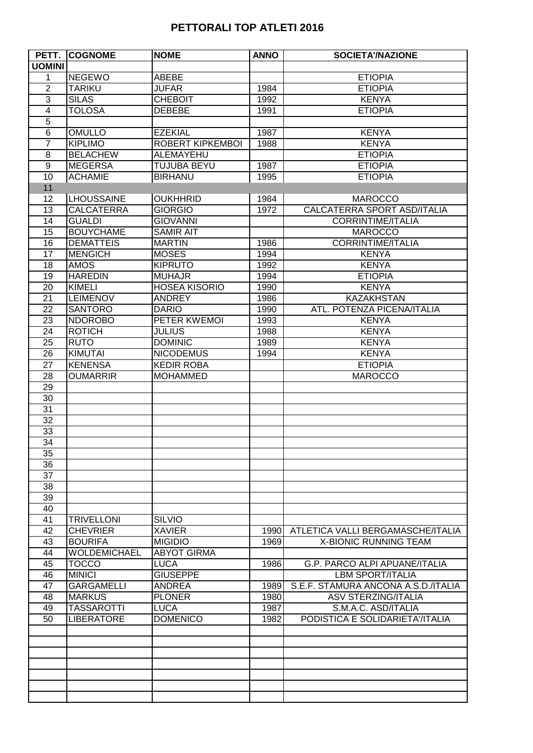## **PETTORALI TOP ATLETI 2016**

| PETT.            | <b>COGNOME</b>      | <b>NOME</b>          | <b>ANNO</b> | <b>SOCIETA'/NAZIONE</b>              |
|------------------|---------------------|----------------------|-------------|--------------------------------------|
| <b>UOMINI</b>    |                     |                      |             |                                      |
| 1                | <b>NEGEWO</b>       | ABEBE                |             | <b>ETIOPIA</b>                       |
| $\overline{2}$   | <b>TARIKU</b>       | <b>JUFAR</b>         | 1984        | <b>ETIOPIA</b>                       |
| 3                | <b>SILAS</b>        | <b>CHEBOIT</b>       | 1992        | <b>KENYA</b>                         |
| 4                | <b>TOLOSA</b>       | <b>DEBEBE</b>        | 1991        | <b>ETIOPIA</b>                       |
| $\overline{5}$   |                     |                      |             |                                      |
| 6                | <b>OMULLO</b>       | <b>EZEKIAL</b>       | 1987        | <b>KENYA</b>                         |
| 7                | <b>KIPLIMO</b>      | ROBERT KIPKEMBOI     | 1988        | <b>KENYA</b>                         |
| 8                | <b>BELACHEW</b>     | ALEMAYEHU            |             | <b>ETIOPIA</b>                       |
|                  |                     | <b>TUJUBA BEYU</b>   |             |                                      |
| $\boldsymbol{9}$ | <b>MEGERSA</b>      |                      | 1987        | <b>ETIOPIA</b>                       |
| 10               | <b>ACHAMIE</b>      | <b>BIRHANU</b>       | 1995        | <b>ETIOPIA</b>                       |
| 11               |                     |                      |             |                                      |
| 12               | <b>LHOUSSAINE</b>   | <b>OUKHHRID</b>      | 1984        | <b>MAROCCO</b>                       |
| 13               | <b>CALCATERRA</b>   | <b>GIORGIO</b>       | 1972        | CALCATERRA SPORT ASD/ITALIA          |
| 14               | <b>GUALDI</b>       | <b>GIOVANNI</b>      |             | <b>CORRINTIME/ITALIA</b>             |
| $\overline{15}$  | <b>BOUYCHAME</b>    | <b>SAMIR AIT</b>     |             | <b>MAROCCO</b>                       |
| 16               | <b>DEMATTEIS</b>    | <b>MARTIN</b>        | 1986        | <b>CORRINTIME/ITALIA</b>             |
| 17               | <b>MENGICH</b>      | <b>MOSES</b>         | 1994        | <b>KENYA</b>                         |
| 18               | <b>AMOS</b>         | <b>KIPRUTO</b>       | 1992        | <b>KENYA</b>                         |
| 19               | <b>HAREDIN</b>      | <b>MUHAJR</b>        | 1994        | <b>ETIOPIA</b>                       |
| 20               | <b>KIMELI</b>       | <b>HOSEA KISORIO</b> | 1990        | <b>KENYA</b>                         |
| 21               | <b>LEIMENOV</b>     | <b>ANDREY</b>        | 1986        | <b>KAZAKHSTAN</b>                    |
| 22               | <b>SANTORO</b>      | <b>DARIO</b>         | 1990        | ATL. POTENZA PICENA/ITALIA           |
| 23               | <b>NDOROBO</b>      | <b>PETER KWEMOI</b>  | 1993        | <b>KENYA</b>                         |
| 24               | <b>ROTICH</b>       | <b>JULIUS</b>        | 1988        | <b>KENYA</b>                         |
| 25               | <b>RUTO</b>         | <b>DOMINIC</b>       | 1989        | <b>KENYA</b>                         |
| 26               | <b>KIMUTAI</b>      | <b>NICODEMUS</b>     | 1994        | <b>KENYA</b>                         |
| 27               | <b>KENENSA</b>      | <b>KEDIR ROBA</b>    |             | <b>ETIOPIA</b>                       |
|                  |                     |                      |             |                                      |
| 28               | <b>OUMARRIR</b>     | <b>MOHAMMED</b>      |             | <b>MAROCCO</b>                       |
| 29               |                     |                      |             |                                      |
| 30               |                     |                      |             |                                      |
| 31               |                     |                      |             |                                      |
| 32               |                     |                      |             |                                      |
| 33               |                     |                      |             |                                      |
| 34               |                     |                      |             |                                      |
| 35               |                     |                      |             |                                      |
| 36               |                     |                      |             |                                      |
| 37               |                     |                      |             |                                      |
| 38               |                     |                      |             |                                      |
| 39               |                     |                      |             |                                      |
| 40               |                     |                      |             |                                      |
| 41               | <b>TRIVELLONI</b>   | <b>SILVIO</b>        |             |                                      |
| 42               | <b>CHEVRIER</b>     | <b>XAVIER</b>        | 1990        | ATLETICA VALLI BERGAMASCHE/ITALIA    |
| 43               | <b>BOURIFA</b>      | <b>MIGIDIO</b>       | 1969        | <b>X-BIONIC RUNNING TEAM</b>         |
| 44               | <b>WOLDEMICHAEL</b> | <b>ABYOT GIRMA</b>   |             |                                      |
| 45               | <b>TOCCO</b>        | <b>LUCA</b>          | 1986        | <b>G.P. PARCO ALPI APUANE/ITALIA</b> |
| 46               | <b>MINICI</b>       | <b>GIUSEPPE</b>      |             | <b>LBM SPORT/ITALIA</b>              |
| 47               | <b>GARGAMELLI</b>   | <b>ANDREA</b>        | 1989        | S.E.F. STAMURA ANCONA A.S.D./ITALIA  |
| 48               | <b>MARKUS</b>       | <b>PLONER</b>        | 1980        | <b>ASV STERZING/ITALIA</b>           |
| 49               | <b>TASSAROTTI</b>   | <b>LUCA</b>          | 1987        | S.M.A.C. ASD/ITALIA                  |
| 50               | <b>LIBERATORE</b>   | <b>DOMENICO</b>      |             | PODISTICA E SOLIDARIETA'/ITALIA      |
|                  |                     |                      | 1982        |                                      |
|                  |                     |                      |             |                                      |
|                  |                     |                      |             |                                      |
|                  |                     |                      |             |                                      |
|                  |                     |                      |             |                                      |
|                  |                     |                      |             |                                      |
|                  |                     |                      |             |                                      |
|                  |                     |                      |             |                                      |